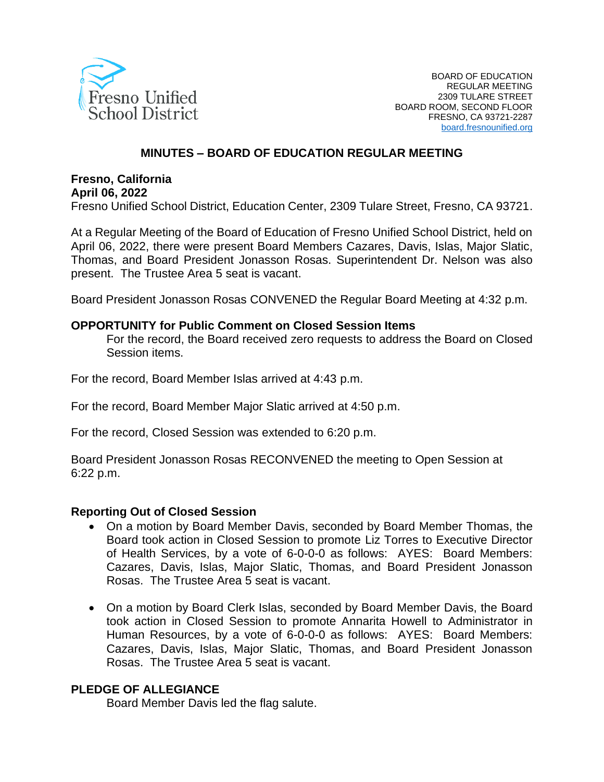

### **MINUTES – BOARD OF EDUCATION REGULAR MEETING**

#### **Fresno, California April 06, 2022**

Fresno Unified School District, Education Center, 2309 Tulare Street, Fresno, CA 93721.

At a Regular Meeting of the Board of Education of Fresno Unified School District, held on April 06, 2022, there were present Board Members Cazares, Davis, Islas, Major Slatic, Thomas, and Board President Jonasson Rosas. Superintendent Dr. Nelson was also present. The Trustee Area 5 seat is vacant.

Board President Jonasson Rosas CONVENED the Regular Board Meeting at 4:32 p.m.

#### **OPPORTUNITY for Public Comment on Closed Session Items**

For the record, the Board received zero requests to address the Board on Closed Session items.

For the record, Board Member Islas arrived at 4:43 p.m.

For the record, Board Member Major Slatic arrived at 4:50 p.m.

For the record, Closed Session was extended to 6:20 p.m.

Board President Jonasson Rosas RECONVENED the meeting to Open Session at 6:22 p.m.

#### **Reporting Out of Closed Session**

- On a motion by Board Member Davis, seconded by Board Member Thomas, the Board took action in Closed Session to promote Liz Torres to Executive Director of Health Services, by a vote of 6-0-0-0 as follows: AYES: Board Members: Cazares, Davis, Islas, Major Slatic, Thomas, and Board President Jonasson Rosas. The Trustee Area 5 seat is vacant.
- On a motion by Board Clerk Islas, seconded by Board Member Davis, the Board took action in Closed Session to promote Annarita Howell to Administrator in Human Resources, by a vote of 6-0-0-0 as follows: AYES: Board Members: Cazares, Davis, Islas, Major Slatic, Thomas, and Board President Jonasson Rosas. The Trustee Area 5 seat is vacant.

### **PLEDGE OF ALLEGIANCE**

Board Member Davis led the flag salute.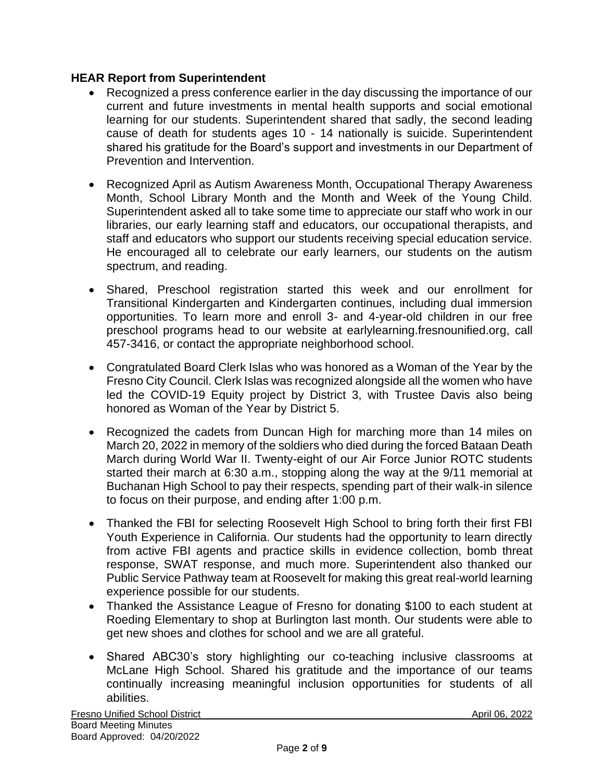## **HEAR Report from Superintendent**

- Recognized a press conference earlier in the day discussing the importance of our current and future investments in mental health supports and social emotional learning for our students. Superintendent shared that sadly, the second leading cause of death for students ages 10 - 14 nationally is suicide. Superintendent shared his gratitude for the Board's support and investments in our Department of Prevention and Intervention.
- Recognized April as Autism Awareness Month, Occupational Therapy Awareness Month, School Library Month and the Month and Week of the Young Child. Superintendent asked all to take some time to appreciate our staff who work in our libraries, our early learning staff and educators, our occupational therapists, and staff and educators who support our students receiving special education service. He encouraged all to celebrate our early learners, our students on the autism spectrum, and reading.
- Shared, Preschool registration started this week and our enrollment for Transitional Kindergarten and Kindergarten continues, including dual immersion opportunities. To learn more and enroll 3- and 4-year-old children in our free preschool programs head to our website at earlylearning.fresnounified.org, call 457-3416, or contact the appropriate neighborhood school.
- Congratulated Board Clerk Islas who was honored as a Woman of the Year by the Fresno City Council. Clerk Islas was recognized alongside all the women who have led the COVID-19 Equity project by District 3, with Trustee Davis also being honored as Woman of the Year by District 5.
- Recognized the cadets from Duncan High for marching more than 14 miles on March 20, 2022 in memory of the soldiers who died during the forced Bataan Death March during World War II. Twenty-eight of our Air Force Junior ROTC students started their march at 6:30 a.m., stopping along the way at the 9/11 memorial at Buchanan High School to pay their respects, spending part of their walk-in silence to focus on their purpose, and ending after 1:00 p.m.
- Thanked the FBI for selecting Roosevelt High School to bring forth their first FBI Youth Experience in California. Our students had the opportunity to learn directly from active FBI agents and practice skills in evidence collection, bomb threat response, SWAT response, and much more. Superintendent also thanked our Public Service Pathway team at Roosevelt for making this great real-world learning experience possible for our students.
- Thanked the Assistance League of Fresno for donating \$100 to each student at Roeding Elementary to shop at Burlington last month. Our students were able to get new shoes and clothes for school and we are all grateful.
- Shared ABC30's story highlighting our co-teaching inclusive classrooms at McLane High School. Shared his gratitude and the importance of our teams continually increasing meaningful inclusion opportunities for students of all abilities.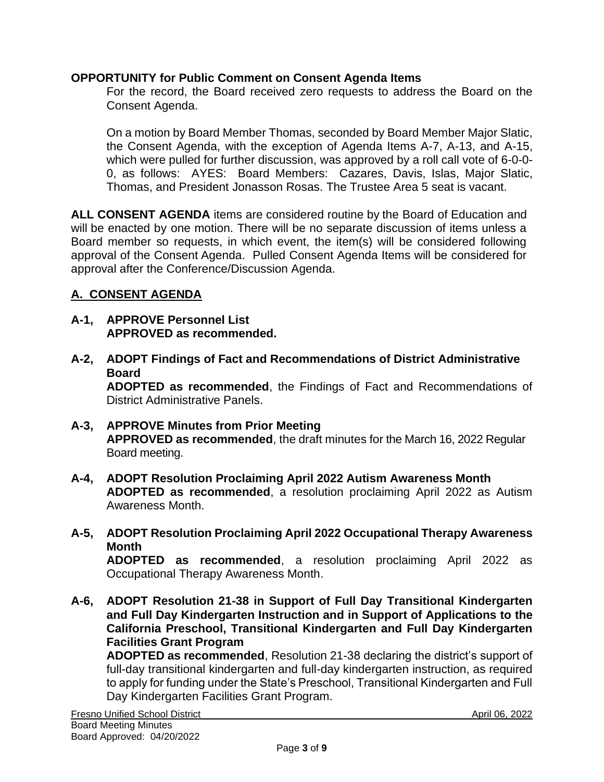### **OPPORTUNITY for Public Comment on Consent Agenda Items**

For the record, the Board received zero requests to address the Board on the Consent Agenda.

On a motion by Board Member Thomas, seconded by Board Member Major Slatic, the Consent Agenda, with the exception of Agenda Items A-7, A-13, and A-15, which were pulled for further discussion, was approved by a roll call vote of 6-0-0- 0, as follows: AYES: Board Members: Cazares, Davis, Islas, Major Slatic, Thomas, and President Jonasson Rosas. The Trustee Area 5 seat is vacant.

**ALL CONSENT AGENDA** items are considered routine by the Board of Education and will be enacted by one motion. There will be no separate discussion of items unless a Board member so requests, in which event, the item(s) will be considered following approval of the Consent Agenda. Pulled Consent Agenda Items will be considered for approval after the Conference/Discussion Agenda.

# **A. CONSENT AGENDA**

- **A-1, APPROVE Personnel List APPROVED as recommended.**
- **A-2, ADOPT Findings of Fact and Recommendations of District Administrative Board**

**ADOPTED as recommended**, the Findings of Fact and Recommendations of District Administrative Panels.

- **A-3, APPROVE Minutes from Prior Meeting APPROVED as recommended**, the draft minutes for the March 16, 2022 Regular Board meeting.
- **A-4, ADOPT Resolution Proclaiming April 2022 Autism Awareness Month ADOPTED as recommended**, a resolution proclaiming April 2022 as Autism Awareness Month.
- **A-5, ADOPT Resolution Proclaiming April 2022 Occupational Therapy Awareness Month**

**ADOPTED as recommended**, a resolution proclaiming April 2022 as Occupational Therapy Awareness Month.

**A-6, ADOPT Resolution 21-38 in Support of Full Day Transitional Kindergarten and Full Day Kindergarten Instruction and in Support of Applications to the California Preschool, Transitional Kindergarten and Full Day Kindergarten Facilities Grant Program**

**ADOPTED as recommended**, Resolution 21-38 declaring the district's support of full-day transitional kindergarten and full-day kindergarten instruction, as required to apply for funding under the State's Preschool, Transitional Kindergarten and Full Day Kindergarten Facilities Grant Program.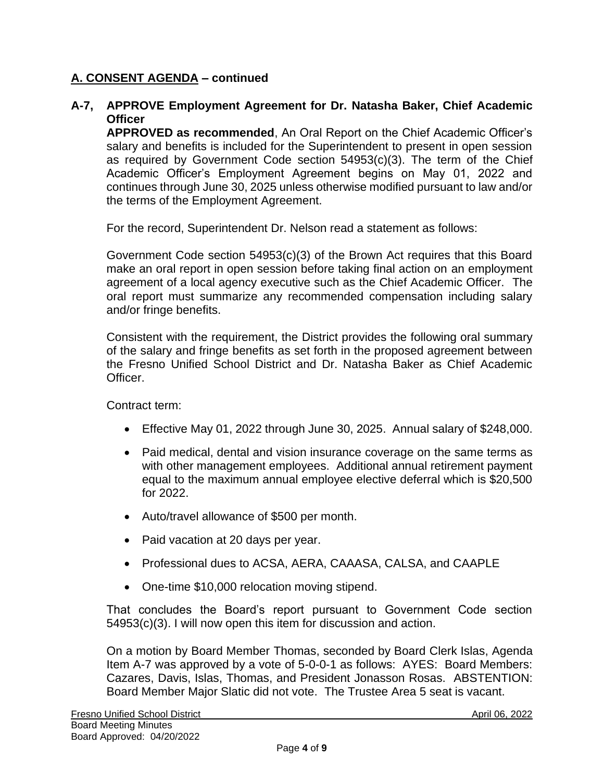### **A-7, APPROVE Employment Agreement for Dr. Natasha Baker, Chief Academic Officer**

**APPROVED as recommended**, An Oral Report on the Chief Academic Officer's salary and benefits is included for the Superintendent to present in open session as required by Government Code section 54953(c)(3). The term of the Chief Academic Officer's Employment Agreement begins on May 01, 2022 and continues through June 30, 2025 unless otherwise modified pursuant to law and/or the terms of the Employment Agreement.

For the record, Superintendent Dr. Nelson read a statement as follows:

Government Code section 54953(c)(3) of the Brown Act requires that this Board make an oral report in open session before taking final action on an employment agreement of a local agency executive such as the Chief Academic Officer. The oral report must summarize any recommended compensation including salary and/or fringe benefits.

Consistent with the requirement, the District provides the following oral summary of the salary and fringe benefits as set forth in the proposed agreement between the Fresno Unified School District and Dr. Natasha Baker as Chief Academic **Officer** 

Contract term:

- Effective May 01, 2022 through June 30, 2025. Annual salary of \$248,000.
- Paid medical, dental and vision insurance coverage on the same terms as with other management employees. Additional annual retirement payment equal to the maximum annual employee elective deferral which is \$20,500 for 2022.
- Auto/travel allowance of \$500 per month.
- Paid vacation at 20 days per year.
- Professional dues to ACSA, AERA, CAAASA, CALSA, and CAAPLE
- One-time \$10,000 relocation moving stipend.

That concludes the Board's report pursuant to Government Code section 54953(c)(3). I will now open this item for discussion and action.

On a motion by Board Member Thomas, seconded by Board Clerk Islas, Agenda Item A-7 was approved by a vote of 5-0-0-1 as follows: AYES: Board Members: Cazares, Davis, Islas, Thomas, and President Jonasson Rosas. ABSTENTION: Board Member Major Slatic did not vote. The Trustee Area 5 seat is vacant.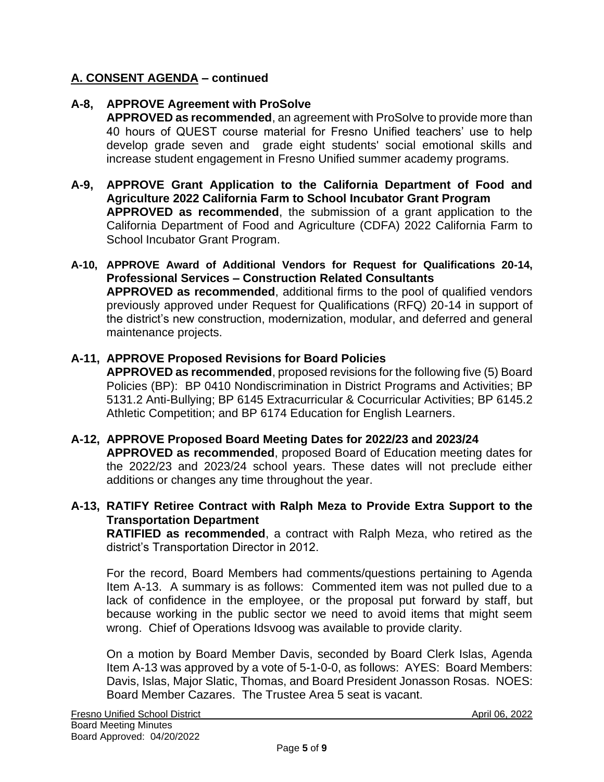## **A-8, APPROVE Agreement with ProSolve**

**APPROVED as recommended**, an agreement with ProSolve to provide more than 40 hours of QUEST course material for Fresno Unified teachers' use to help develop grade seven and grade eight students' social emotional skills and increase student engagement in Fresno Unified summer academy programs.

- **A-9, APPROVE Grant Application to the California Department of Food and Agriculture 2022 California Farm to School Incubator Grant Program APPROVED as recommended**, the submission of a grant application to the California Department of Food and Agriculture (CDFA) 2022 California Farm to School Incubator Grant Program.
- **A-10, APPROVE Award of Additional Vendors for Request for Qualifications 20-14, Professional Services – Construction Related Consultants APPROVED as recommended**, additional firms to the pool of qualified vendors previously approved under Request for Qualifications (RFQ) 20-14 in support of the district's new construction, modernization, modular, and deferred and general maintenance projects.

### **A-11, APPROVE Proposed Revisions for Board Policies**

**APPROVED as recommended**, proposed revisions for the following five (5) Board Policies (BP): BP 0410 Nondiscrimination in District Programs and Activities; BP 5131.2 Anti-Bullying; BP 6145 Extracurricular & Cocurricular Activities; BP 6145.2 Athletic Competition; and BP 6174 Education for English Learners.

### **A-12, APPROVE Proposed Board Meeting Dates for 2022/23 and 2023/24**

**APPROVED as recommended**, proposed Board of Education meeting dates for the 2022/23 and 2023/24 school years. These dates will not preclude either additions or changes any time throughout the year.

### **A-13, RATIFY Retiree Contract with Ralph Meza to Provide Extra Support to the Transportation Department**

**RATIFIED as recommended**, a contract with Ralph Meza, who retired as the district's Transportation Director in 2012.

For the record, Board Members had comments/questions pertaining to Agenda Item A-13. A summary is as follows: Commented item was not pulled due to a lack of confidence in the employee, or the proposal put forward by staff, but because working in the public sector we need to avoid items that might seem wrong. Chief of Operations Idsvoog was available to provide clarity.

On a motion by Board Member Davis, seconded by Board Clerk Islas, Agenda Item A-13 was approved by a vote of 5-1-0-0, as follows: AYES: Board Members: Davis, Islas, Major Slatic, Thomas, and Board President Jonasson Rosas. NOES: Board Member Cazares. The Trustee Area 5 seat is vacant.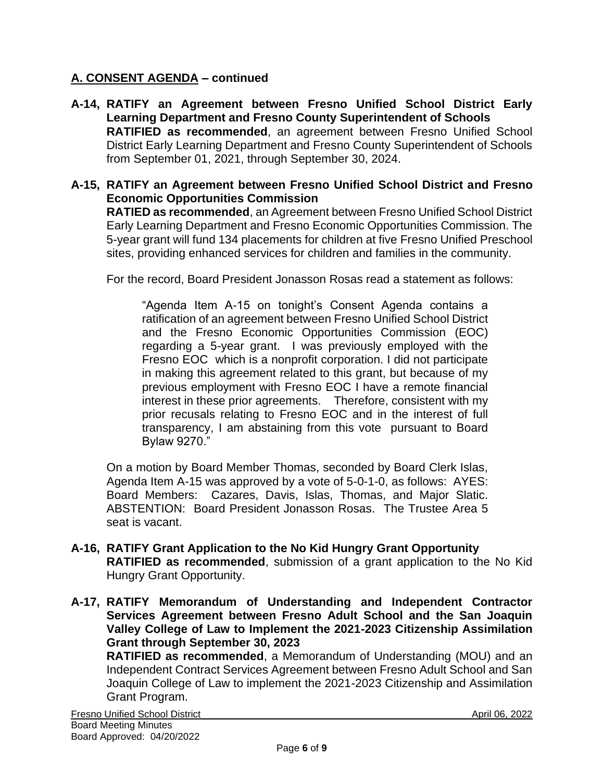- **A-14, RATIFY an Agreement between Fresno Unified School District Early Learning Department and Fresno County Superintendent of Schools RATIFIED as recommended**, an agreement between Fresno Unified School District Early Learning Department and Fresno County Superintendent of Schools from September 01, 2021, through September 30, 2024.
- **A-15, RATIFY an Agreement between Fresno Unified School District and Fresno Economic Opportunities Commission**

**RATIED as recommended**, an Agreement between Fresno Unified School District Early Learning Department and Fresno Economic Opportunities Commission. The 5-year grant will fund 134 placements for children at five Fresno Unified Preschool sites, providing enhanced services for children and families in the community.

For the record, Board President Jonasson Rosas read a statement as follows:

"Agenda Item A-15 on tonight's Consent Agenda contains a ratification of an agreement between Fresno Unified School District and the Fresno Economic Opportunities Commission (EOC) regarding a 5-year grant. I was previously employed with the Fresno EOC which is a nonprofit corporation. I did not participate in making this agreement related to this grant, but because of my previous employment with Fresno EOC I have a remote financial interest in these prior agreements. Therefore, consistent with my prior recusals relating to Fresno EOC and in the interest of full transparency, I am abstaining from this vote pursuant to Board Bylaw 9270."

On a motion by Board Member Thomas, seconded by Board Clerk Islas, Agenda Item A-15 was approved by a vote of 5-0-1-0, as follows: AYES: Board Members: Cazares, Davis, Islas, Thomas, and Major Slatic. ABSTENTION: Board President Jonasson Rosas. The Trustee Area 5 seat is vacant.

- **A-16, RATIFY Grant Application to the No Kid Hungry Grant Opportunity RATIFIED as recommended**, submission of a grant application to the No Kid Hungry Grant Opportunity.
- **A-17, RATIFY Memorandum of Understanding and Independent Contractor Services Agreement between Fresno Adult School and the San Joaquin Valley College of Law to Implement the 2021-2023 Citizenship Assimilation Grant through September 30, 2023**

**RATIFIED as recommended**, a Memorandum of Understanding (MOU) and an Independent Contract Services Agreement between Fresno Adult School and San Joaquin College of Law to implement the 2021-2023 Citizenship and Assimilation Grant Program.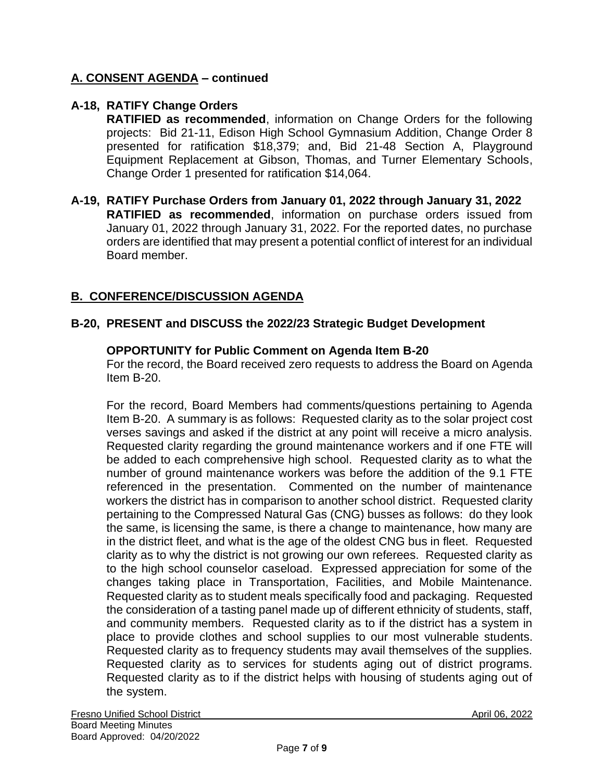# **A-18, RATIFY Change Orders**

**RATIFIED as recommended**, information on Change Orders for the following projects: Bid 21-11, Edison High School Gymnasium Addition, Change Order 8 presented for ratification \$18,379; and, Bid 21-48 Section A, Playground Equipment Replacement at Gibson, Thomas, and Turner Elementary Schools, Change Order 1 presented for ratification \$14,064.

### **A-19, RATIFY Purchase Orders from January 01, 2022 through January 31, 2022 RATIFIED as recommended**, information on purchase orders issued from January 01, 2022 through January 31, 2022. For the reported dates, no purchase orders are identified that may present a potential conflict of interest for an individual Board member.

# **B. CONFERENCE/DISCUSSION AGENDA**

### **B-20, PRESENT and DISCUSS the 2022/23 Strategic Budget Development**

### **OPPORTUNITY for Public Comment on Agenda Item B-20**

For the record, the Board received zero requests to address the Board on Agenda Item B-20.

For the record, Board Members had comments/questions pertaining to Agenda Item B-20. A summary is as follows: Requested clarity as to the solar project cost verses savings and asked if the district at any point will receive a micro analysis. Requested clarity regarding the ground maintenance workers and if one FTE will be added to each comprehensive high school. Requested clarity as to what the number of ground maintenance workers was before the addition of the 9.1 FTE referenced in the presentation. Commented on the number of maintenance workers the district has in comparison to another school district. Requested clarity pertaining to the Compressed Natural Gas (CNG) busses as follows: do they look the same, is licensing the same, is there a change to maintenance, how many are in the district fleet, and what is the age of the oldest CNG bus in fleet. Requested clarity as to why the district is not growing our own referees. Requested clarity as to the high school counselor caseload. Expressed appreciation for some of the changes taking place in Transportation, Facilities, and Mobile Maintenance. Requested clarity as to student meals specifically food and packaging. Requested the consideration of a tasting panel made up of different ethnicity of students, staff, and community members. Requested clarity as to if the district has a system in place to provide clothes and school supplies to our most vulnerable students. Requested clarity as to frequency students may avail themselves of the supplies. Requested clarity as to services for students aging out of district programs. Requested clarity as to if the district helps with housing of students aging out of the system.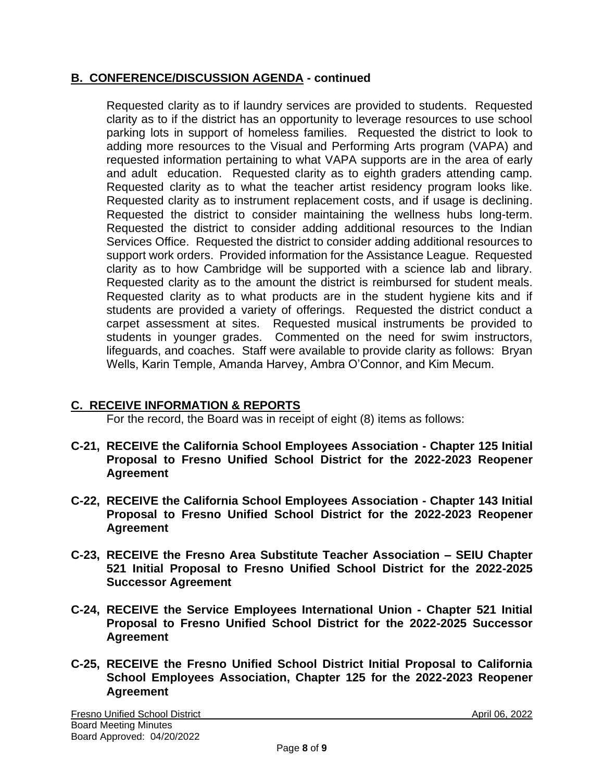# **B. CONFERENCE/DISCUSSION AGENDA - continued**

Requested clarity as to if laundry services are provided to students. Requested clarity as to if the district has an opportunity to leverage resources to use school parking lots in support of homeless families. Requested the district to look to adding more resources to the Visual and Performing Arts program (VAPA) and requested information pertaining to what VAPA supports are in the area of early and adult education. Requested clarity as to eighth graders attending camp. Requested clarity as to what the teacher artist residency program looks like. Requested clarity as to instrument replacement costs, and if usage is declining. Requested the district to consider maintaining the wellness hubs long-term. Requested the district to consider adding additional resources to the Indian Services Office. Requested the district to consider adding additional resources to support work orders. Provided information for the Assistance League. Requested clarity as to how Cambridge will be supported with a science lab and library. Requested clarity as to the amount the district is reimbursed for student meals. Requested clarity as to what products are in the student hygiene kits and if students are provided a variety of offerings. Requested the district conduct a carpet assessment at sites. Requested musical instruments be provided to students in younger grades. Commented on the need for swim instructors, lifeguards, and coaches. Staff were available to provide clarity as follows: Bryan Wells, Karin Temple, Amanda Harvey, Ambra O'Connor, and Kim Mecum.

# **C. RECEIVE INFORMATION & REPORTS**

For the record, the Board was in receipt of eight (8) items as follows:

- **C-21, RECEIVE the California School Employees Association - Chapter 125 Initial Proposal to Fresno Unified School District for the 2022-2023 Reopener Agreement**
- **C-22, RECEIVE the California School Employees Association - Chapter 143 Initial Proposal to Fresno Unified School District for the 2022-2023 Reopener Agreement**
- **C-23, RECEIVE the Fresno Area Substitute Teacher Association – SEIU Chapter 521 Initial Proposal to Fresno Unified School District for the 2022-2025 Successor Agreement**
- **C-24, RECEIVE the Service Employees International Union - Chapter 521 Initial Proposal to Fresno Unified School District for the 2022-2025 Successor Agreement**
- **C-25, RECEIVE the Fresno Unified School District Initial Proposal to California School Employees Association, Chapter 125 for the 2022-2023 Reopener Agreement**